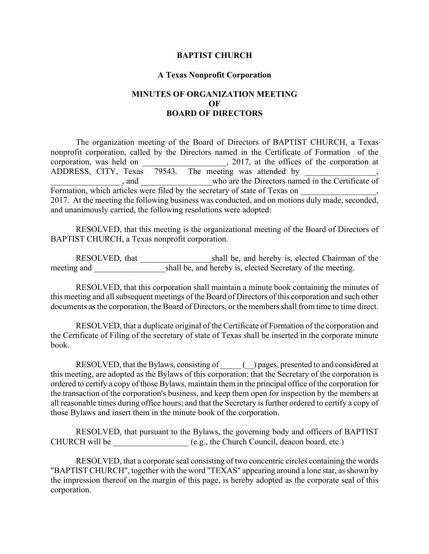## **BAPTIST CHURCH**

## **A Texas Nonprofit Corporation**

## **MINUTES OF ORGANIZATION MEETING OF BOARD OF DIRECTORS**

The organization meeting of the Board of Directors of BAPTIST CHURCH, a Texas nonprofit corporation, called by the Directors named in the Certificate of Formation of the corporation, was held on  $2017$ , at the offices of the corporation at ADDRESS, CITY, Texas 79543. The meeting was attended by  $\,$ , \_\_\_\_\_\_\_\_\_\_\_\_\_\_\_\_\_, and \_\_\_\_\_\_\_\_\_\_\_\_\_\_\_\_\_who are the Directors named in the Certificate of Formation, which articles were filed by the secretary of state of Texas on 2017. At the meeting the following business was conducted, and on motions duly made, seconded, and unanimously carried, the following resolutions were adopted:

RESOLVED, that this meeting is the organizational meeting of the Board of Directors of BAPTIST CHURCH, a Texas nonprofit corporation.

RESOLVED, that shall be, and hereby is, elected Chairman of the meeting and  $shall$  be, and hereby is, elected Secretary of the meeting.

RESOLVED, that this corporation shall maintain a minute book containing the minutes of this meeting and all subsequent meetings of the Board of Directors of this corporation and such other documents as the corporation, the Board of Directors, or the members shall from time to time direct.

RESOLVED, that a duplicate original of the Certificate of Formation of the corporation and the Certificate of Filing of the secretary of state of Texas shall be inserted in the corporate minute book.

RESOLVED, that the Bylaws, consisting of \_\_\_\_\_ (\_\_) pages, presented to and considered at this meeting, are adopted as the Bylaws of this corporation; that the Secretary of the corporation is ordered to certify a copy of those Bylaws, maintain them in the principal office of the corporation for the transaction of the corporation's business, and keep them open for inspection by the members at all reasonable times during office hours; and that the Secretary is further ordered to certify a copy of those Bylaws and insert them in the minute book of the corporation.

RESOLVED, that pursuant to the Bylaws, the governing body and officers of BAPTIST CHURCH will be \_\_\_\_\_\_\_\_\_\_\_\_\_\_\_\_\_\_ (e.g., the Church Council, deacon board, etc.)

RESOLVED, that a corporate seal consisting of two concentric circles containing the words "BAPTIST CHURCH", together with the word "TEXAS" appearing around a lone star, as shown by the impression thereof on the margin of this page, is hereby adopted as the corporate seal of this corporation.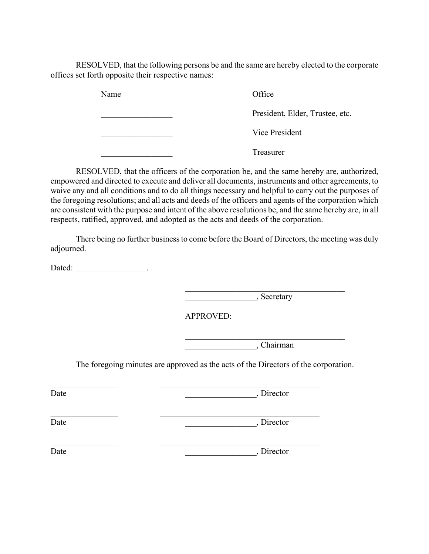RESOLVED, that the following persons be and the same are hereby elected to the corporate offices set forth opposite their respective names:

> Name Office President, Elder, Trustee, etc. **Example 2** Vice President \_\_\_\_\_\_\_\_\_\_\_\_\_\_\_\_\_ Treasurer

RESOLVED, that the officers of the corporation be, and the same hereby are, authorized, empowered and directed to execute and deliver all documents, instruments and other agreements, to waive any and all conditions and to do all things necessary and helpful to carry out the purposes of the foregoing resolutions; and all acts and deeds of the officers and agents of the corporation which are consistent with the purpose and intent of the above resolutions be, and the same hereby are, in all respects, ratified, approved, and adopted as the acts and deeds of the corporation.

There being no further business to come before the Board of Directors, the meeting was duly adjourned.

Dated: \_\_\_\_\_\_\_\_\_\_\_\_\_\_\_\_\_\_\_\_\_.

 $\overline{\phantom{a}}$   $\overline{\phantom{a}}$   $\overline{\phantom{a}}$   $\overline{\phantom{a}}$   $\overline{\phantom{a}}$   $\overline{\phantom{a}}$   $\overline{\phantom{a}}$   $\overline{\phantom{a}}$   $\overline{\phantom{a}}$   $\overline{\phantom{a}}$   $\overline{\phantom{a}}$   $\overline{\phantom{a}}$   $\overline{\phantom{a}}$   $\overline{\phantom{a}}$   $\overline{\phantom{a}}$   $\overline{\phantom{a}}$   $\overline{\phantom{a}}$   $\overline{\phantom{a}}$   $\overline{\$ 

 $\mathcal{L}_\text{max}$  , and the set of the set of the set of the set of the set of the set of the set of the set of the set of the set of the set of the set of the set of the set of the set of the set of the set of the set of the

 $\mathcal{L}_\text{max}$  , and the set of the set of the set of the set of the set of the set of the set of the set of the set of the set of the set of the set of the set of the set of the set of the set of the set of the set of the

APPROVED:

 $\overline{\phantom{a}}$ , Chairman

The foregoing minutes are approved as the acts of the Directors of the corporation.

 $\_$  , and the contribution of  $\mathcal{L}_\mathcal{L}$  , and the contribution of  $\mathcal{L}_\mathcal{L}$ 

 $\_$  , and the contribution of  $\mathcal{L}_\mathcal{L}$  , and the contribution of  $\mathcal{L}_\mathcal{L}$ 

 $\_$  , and the contribution of  $\mathcal{L}_\mathcal{L}$  , and the contribution of  $\mathcal{L}_\mathcal{L}$ 

Date State Date State State State State State State State State State State State State State State State State State State State State State State State State State State State State State State State State State State St

Date \_\_\_\_\_\_\_\_\_\_\_\_\_\_\_\_\_, Director

Date Date Date by Director